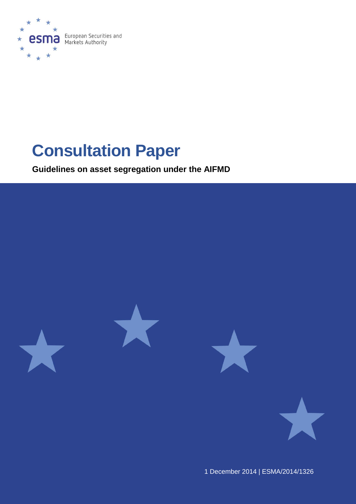

# **Consultation Paper**

**Guidelines on asset segregation under the AIFMD**



1 December 2014 | ESMA/2014/1326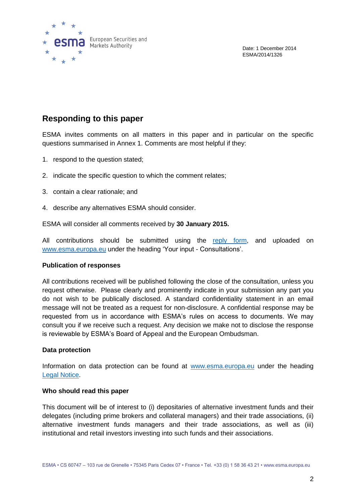

Date: 1 December 2014 ESMA/2014/1326

## **Responding to this paper**

ESMA invites comments on all matters in this paper and in particular on the specific questions summarised in Annex 1. Comments are most helpful if they:

- 1. respond to the question stated;
- 2. indicate the specific question to which the comment relates;
- 3. contain a clear rationale; and
- 4. describe any alternatives ESMA should consider.

ESMA will consider all comments received by **30 January 2015.** 

All contributions should be submitted using the [reply form,](http://www.esma.europa.eu/system/files/form_to_reply_g_aifmd.doc) and uploaded on [www.esma.europa.eu](http://www.esma.europa.eu/) under the heading 'Your input - Consultations'.

#### **Publication of responses**

All contributions received will be published following the close of the consultation, unless you request otherwise. Please clearly and prominently indicate in your submission any part you do not wish to be publically disclosed. A standard confidentiality statement in an email message will not be treated as a request for non-disclosure. A confidential response may be requested from us in accordance with ESMA's rules on access to documents. We may consult you if we receive such a request. Any decision we make not to disclose the response is reviewable by ESMA's Board of Appeal and the European Ombudsman.

#### **Data protection**

Information on data protection can be found at [www.esma.europa.eu](http://www.esma.europa.eu/) under the heading [Legal Notice.](http://www.esma.europa.eu/legal-notice)

#### **Who should read this paper**

This document will be of interest to (i) depositaries of alternative investment funds and their delegates (including prime brokers and collateral managers) and their trade associations, (ii) alternative investment funds managers and their trade associations, as well as (iii) institutional and retail investors investing into such funds and their associations.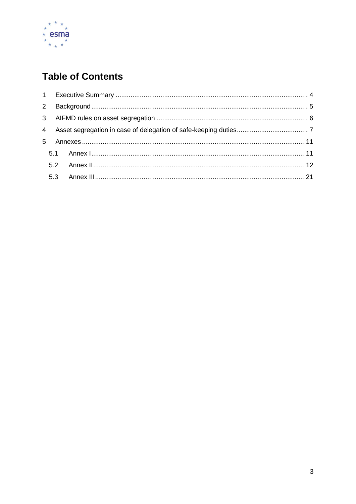

# **Table of Contents**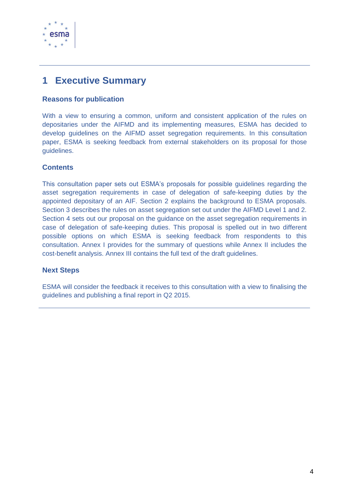

# <span id="page-3-0"></span>**1 Executive Summary**

#### **Reasons for publication**

With a view to ensuring a common, uniform and consistent application of the rules on depositaries under the AIFMD and its implementing measures, ESMA has decided to develop guidelines on the AIFMD asset segregation requirements. In this consultation paper, ESMA is seeking feedback from external stakeholders on its proposal for those guidelines.

#### **Contents**

This consultation paper sets out ESMA's proposals for possible guidelines regarding the asset segregation requirements in case of delegation of safe-keeping duties by the appointed depositary of an AIF. Section 2 explains the background to ESMA proposals. Section 3 describes the rules on asset segregation set out under the AIFMD Level 1 and 2. Section 4 sets out our proposal on the guidance on the asset segregation requirements in case of delegation of safe-keeping duties. This proposal is spelled out in two different possible options on which ESMA is seeking feedback from respondents to this consultation. Annex I provides for the summary of questions while Annex II includes the cost-benefit analysis. Annex III contains the full text of the draft guidelines.

#### **Next Steps**

ESMA will consider the feedback it receives to this consultation with a view to finalising the guidelines and publishing a final report in Q2 2015.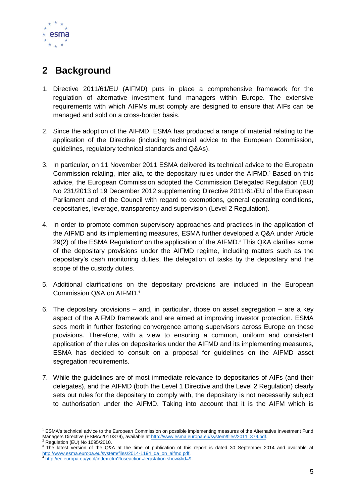

# <span id="page-4-0"></span>**2 Background**

- 1. Directive 2011/61/EU (AIFMD) puts in place a comprehensive framework for the regulation of alternative investment fund managers within Europe. The extensive requirements with which AIFMs must comply are designed to ensure that AIFs can be managed and sold on a cross-border basis.
- 2. Since the adoption of the AIFMD, ESMA has produced a range of material relating to the application of the Directive (including technical advice to the European Commission, guidelines, regulatory technical standards and Q&As).
- 3. In particular, on 11 November 2011 ESMA delivered its technical advice to the European Commission relating, inter alia, to the depositary rules under the AIFMD.<sup>1</sup> Based on this advice, the European Commission adopted the Commission Delegated Regulation (EU) No 231/2013 of 19 December 2012 supplementing Directive 2011/61/EU of the European Parliament and of the Council with regard to exemptions, general operating conditions, depositaries, leverage, transparency and supervision (Level 2 Regulation).
- 4. In order to promote common supervisory approaches and practices in the application of the AIFMD and its implementing measures, ESMA further developed a Q&A under Article 29(2) of the ESMA Regulation<sup>2</sup> on the application of the AIFMD.<sup>3</sup> This Q&A clarifies some of the depositary provisions under the AIFMD regime, including matters such as the depositary's cash monitoring duties, the delegation of tasks by the depositary and the scope of the custody duties.
- 5. Additional clarifications on the depositary provisions are included in the European Commission Q&A on AIFMD. 4
- 6. The depositary provisions and, in particular, those on asset segregation are a key aspect of the AIFMD framework and are aimed at improving investor protection. ESMA sees merit in further fostering convergence among supervisors across Europe on these provisions. Therefore, with a view to ensuring a common, uniform and consistent application of the rules on depositaries under the AIFMD and its implementing measures, ESMA has decided to consult on a proposal for guidelines on the AIFMD asset segregation requirements.
- 7. While the guidelines are of most immediate relevance to depositaries of AIFs (and their delegates), and the AIFMD (both the Level 1 Directive and the Level 2 Regulation) clearly sets out rules for the depositary to comply with, the depositary is not necessarily subject to authorisation under the AIFMD. Taking into account that it is the AIFM which is

1

<sup>1</sup> ESMA's technical advice to the European Commission on possible implementing measures of the Alternative Investment Fund Managers Directive (ESMA/2011/379), available a[t http://www.esma.europa.eu/system/files/2011\\_379.pdf.](http://www.esma.europa.eu/system/files/2011_379.pdf)   $2$  Regulation (EU) No 1095/2010.

 $3$  The latest version of the Q&A at the time of publication of this report is dated 30 September 2014 and available at

[http://www.esma.europa.eu/system/files/2014-1194\\_qa\\_on\\_aifmd.pdf.](http://www.esma.europa.eu/system/files/2014-1194_qa_on_aifmd.pdf)<br>4 http://og.ouropa.eu/vgol/indox.efm?fuggortion-logicletion.phou/8lid=0 [http://ec.europa.eu/yqol/index.cfm?fuseaction=legislation.show&lid=9.](http://ec.europa.eu/yqol/index.cfm?fuseaction=legislation.show&lid=9)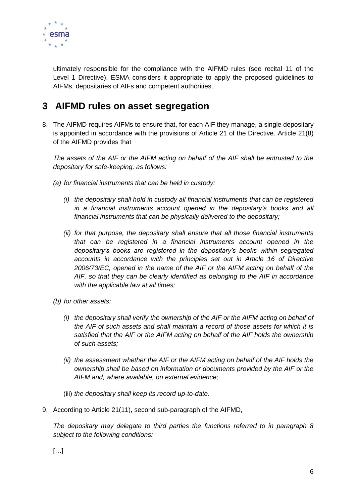

ultimately responsible for the compliance with the AIFMD rules (see recital 11 of the Level 1 Directive), ESMA considers it appropriate to apply the proposed guidelines to AIFMs, depositaries of AIFs and competent authorities.

# <span id="page-5-0"></span>**3 AIFMD rules on asset segregation**

8. The AIFMD requires AIFMs to ensure that, for each AIF they manage, a single depositary is appointed in accordance with the provisions of Article 21 of the Directive. Article 21(8) of the AIFMD provides that

*The assets of the AIF or the AIFM acting on behalf of the AIF shall be entrusted to the depositary for safe-keeping, as follows:*

- *(a) for financial instruments that can be held in custody:*
	- *(i) the depositary shall hold in custody all financial instruments that can be registered in a financial instruments account opened in the depositary's books and all financial instruments that can be physically delivered to the depositary;*
	- *(ii) for that purpose, the depositary shall ensure that all those financial instruments that can be registered in a financial instruments account opened in the depositary's books are registered in the depositary's books within segregated accounts in accordance with the principles set out in Article 16 of Directive 2006/73/EC, opened in the name of the AIF or the AIFM acting on behalf of the AIF, so that they can be clearly identified as belonging to the AIF in accordance with the applicable law at all times;*
- *(b) for other assets:*
	- *(i) the depositary shall verify the ownership of the AIF or the AIFM acting on behalf of the AIF of such assets and shall maintain a record of those assets for which it is satisfied that the AIF or the AIFM acting on behalf of the AIF holds the ownership of such assets;*
	- *(ii) the assessment whether the AIF or the AIFM acting on behalf of the AIF holds the ownership shall be based on information or documents provided by the AIF or the AIFM and, where available, on external evidence;*
	- (iii) *the depositary shall keep its record up-to-date.*
- 9. According to Article 21(11), second sub-paragraph of the AIFMD,

*The depositary may delegate to third parties the functions referred to in paragraph 8 subject to the following conditions:*

[…]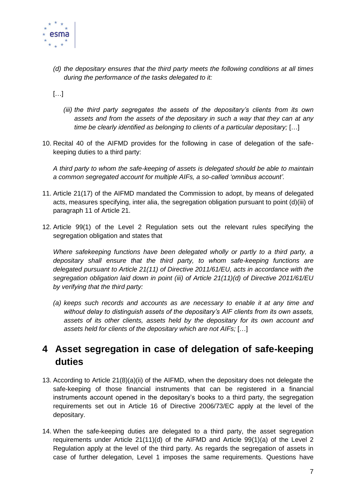

*(d) the depositary ensures that the third party meets the following conditions at all times during the performance of the tasks delegated to it:*

 $\left[\ldots\right]$ 

- *(iii) the third party segregates the assets of the depositary's clients from its own assets and from the assets of the depositary in such a way that they can at any time be clearly identified as belonging to clients of a particular depositary;* […]
- 10. Recital 40 of the AIFMD provides for the following in case of delegation of the safekeeping duties to a third party:

*A third party to whom the safe-keeping of assets is delegated should be able to maintain a common segregated account for multiple AIFs, a so-called 'omnibus account'.*

- 11. Article 21(17) of the AIFMD mandated the Commission to adopt, by means of delegated acts, measures specifying, inter alia, the segregation obligation pursuant to point (d)(iii) of paragraph 11 of Article 21.
- 12. Article 99(1) of the Level 2 Regulation sets out the relevant rules specifying the segregation obligation and states that

*Where safekeeping functions have been delegated wholly or partly to a third party, a depositary shall ensure that the third party, to whom safe-keeping functions are delegated pursuant to Article 21(11) of Directive 2011/61/EU, acts in accordance with the segregation obligation laid down in point (iii) of Article 21(11)(d) of Directive 2011/61/EU by verifying that the third party:*

*(a) keeps such records and accounts as are necessary to enable it at any time and without delay to distinguish assets of the depositary's AIF clients from its own assets, assets of its other clients, assets held by the depositary for its own account and assets held for clients of the depositary which are not AIFs;* […]

# <span id="page-6-0"></span>**4 Asset segregation in case of delegation of safe-keeping duties**

- 13. According to Article 21(8)(a)(ii) of the AIFMD, when the depositary does not delegate the safe-keeping of those financial instruments that can be registered in a financial instruments account opened in the depositary's books to a third party, the segregation requirements set out in Article 16 of Directive 2006/73/EC apply at the level of the depositary.
- 14. When the safe-keeping duties are delegated to a third party, the asset segregation requirements under Article 21(11)(d) of the AIFMD and Article 99(1)(a) of the Level 2 Regulation apply at the level of the third party. As regards the segregation of assets in case of further delegation, Level 1 imposes the same requirements. Questions have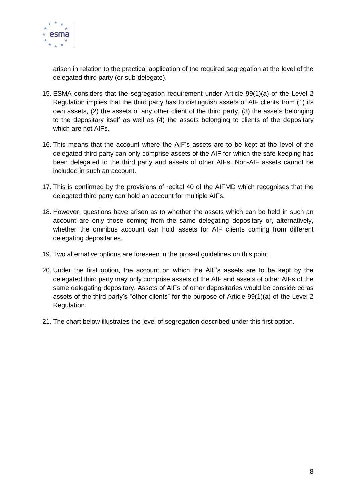

arisen in relation to the practical application of the required segregation at the level of the delegated third party (or sub-delegate).

- 15. ESMA considers that the segregation requirement under Article 99(1)(a) of the Level 2 Regulation implies that the third party has to distinguish assets of AIF clients from (1) its own assets, (2) the assets of any other client of the third party, (3) the assets belonging to the depositary itself as well as (4) the assets belonging to clients of the depositary which are not AIFs.
- 16. This means that the account where the AIF's assets are to be kept at the level of the delegated third party can only comprise assets of the AIF for which the safe-keeping has been delegated to the third party and assets of other AIFs. Non-AIF assets cannot be included in such an account.
- 17. This is confirmed by the provisions of recital 40 of the AIFMD which recognises that the delegated third party can hold an account for multiple AIFs.
- 18. However, questions have arisen as to whether the assets which can be held in such an account are only those coming from the same delegating depositary or, alternatively, whether the omnibus account can hold assets for AIF clients coming from different delegating depositaries.
- 19. Two alternative options are foreseen in the prosed guidelines on this point.
- 20. Under the first option, the account on which the AIF's assets are to be kept by the delegated third party may only comprise assets of the AIF and assets of other AIFs of the same delegating depositary. Assets of AIFs of other depositaries would be considered as assets of the third party's "other clients" for the purpose of Article 99(1)(a) of the Level 2 Regulation.
- 21. The chart below illustrates the level of segregation described under this first option.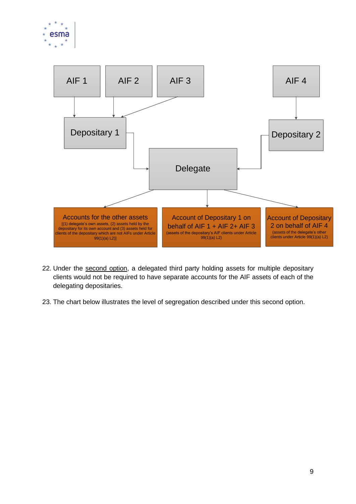



- 22. Under the second option, a delegated third party holding assets for multiple depositary clients would not be required to have separate accounts for the AIF assets of each of the delegating depositaries.
- 23. The chart below illustrates the level of segregation described under this second option.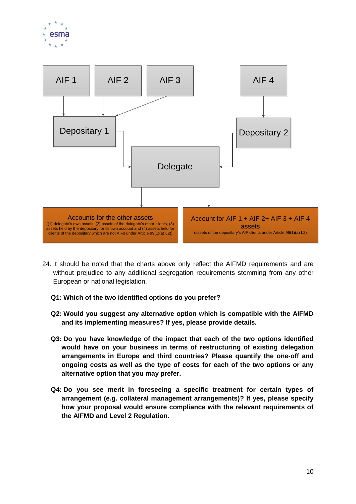



- 24. It should be noted that the charts above only reflect the AIFMD requirements and are without prejudice to any additional segregation requirements stemming from any other European or national legislation.
	- **Q1: Which of the two identified options do you prefer?**
	- **Q2: Would you suggest any alternative option which is compatible with the AIFMD and its implementing measures? If yes, please provide details.**
	- **Q3: Do you have knowledge of the impact that each of the two options identified would have on your business in terms of restructuring of existing delegation arrangements in Europe and third countries? Please quantify the one-off and ongoing costs as well as the type of costs for each of the two options or any alternative option that you may prefer.**
	- **Q4: Do you see merit in foreseeing a specific treatment for certain types of arrangement (e.g. collateral management arrangements)? If yes, please specify how your proposal would ensure compliance with the relevant requirements of the AIFMD and Level 2 Regulation.**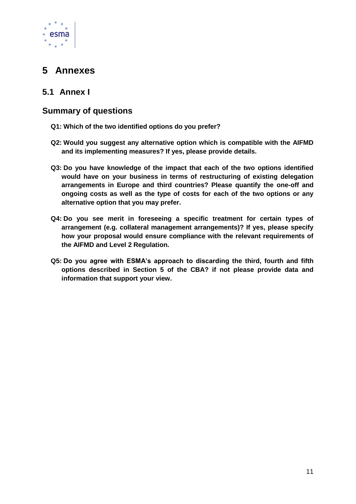

# <span id="page-10-0"></span>**5 Annexes**

### <span id="page-10-1"></span>**5.1 Annex I**

### **Summary of questions**

- **Q1: Which of the two identified options do you prefer?**
- **Q2: Would you suggest any alternative option which is compatible with the AIFMD and its implementing measures? If yes, please provide details.**
- **Q3: Do you have knowledge of the impact that each of the two options identified would have on your business in terms of restructuring of existing delegation arrangements in Europe and third countries? Please quantify the one-off and ongoing costs as well as the type of costs for each of the two options or any alternative option that you may prefer.**
- **Q4: Do you see merit in foreseeing a specific treatment for certain types of arrangement (e.g. collateral management arrangements)? If yes, please specify how your proposal would ensure compliance with the relevant requirements of the AIFMD and Level 2 Regulation.**
- **Q5: Do you agree with ESMA's approach to discarding the third, fourth and fifth options described in Section 5 of the CBA? if not please provide data and information that support your view.**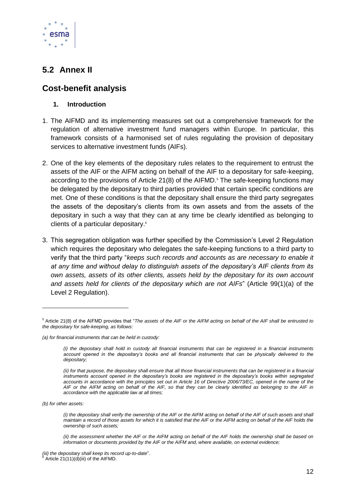

### <span id="page-11-0"></span>**5.2 Annex II**

### **Cost-benefit analysis**

#### **1. Introduction**

- 1. The AIFMD and its implementing measures set out a comprehensive framework for the regulation of alternative investment fund managers within Europe. In particular, this framework consists of a harmonised set of rules regulating the provision of depositary services to alternative investment funds (AIFs).
- 2. One of the key elements of the depositary rules relates to the requirement to entrust the assets of the AIF or the AIFM acting on behalf of the AIF to a depositary for safe-keeping, according to the provisions of Article 21(8) of the AIFMD.<sup>5</sup> The safe-keeping functions may be delegated by the depositary to third parties provided that certain specific conditions are met. One of these conditions is that the depositary shall ensure the third party segregates the assets of the depositary's clients from its own assets and from the assets of the depositary in such a way that they can at any time be clearly identified as belonging to clients of a particular depositary.<sup>6</sup>
- 3. This segregation obligation was further specified by the Commission's Level 2 Regulation which requires the depositary who delegates the safe-keeping functions to a third party to verify that the third party "*keeps such records and accounts as are necessary to enable it at any time and without delay to distinguish assets of the depositary's AIF clients from its own assets, assets of its other clients, assets held by the depositary for its own account and assets held for clients of the depositary which are not AIFs*" (Article 99(1)(a) of the Level 2 Regulation).

*(b) for other assets:*

1

*(iii) the depositary shall keep its record up-to-date*". Article  $21(11)(d)(iii)$  of the AIFMD.

<sup>5</sup> Article 21(8) of the AIFMD provides that "*The assets of the AIF or the AIFM acting on behalf of the AIF shall be entrusted to the depositary for safe-keeping, as follows:*

*<sup>(</sup>a) for financial instruments that can be held in custody:*

*<sup>(</sup>i) the depositary shall hold in custody all financial instruments that can be registered in a financial instruments account opened in the depositary's books and all financial instruments that can be physically delivered to the depositary;*

*<sup>(</sup>ii) for that purpose, the depositary shall ensure that all those financial instruments that can be registered in a financial instruments account opened in the depositary's books are registered in the depositary's books within segregated accounts in accordance with the principles set out in Article 16 of Directive 2006/73/EC, opened in the name of the AIF or the AIFM acting on behalf of the AIF, so that they can be clearly identified as belonging to the AIF in accordance with the applicable law at all times;*

*<sup>(</sup>i) the depositary shall verify the ownership of the AIF or the AIFM acting on behalf of the AIF of such assets and shall maintain a record of those assets for which it is satisfied that the AIF or the AIFM acting on behalf of the AIF holds the ownership of such assets;*

*<sup>(</sup>ii) the assessment whether the AIF or the AIFM acting on behalf of the AIF holds the ownership shall be based on information or documents provided by the AIF or the AIFM and, where available, on external evidence;*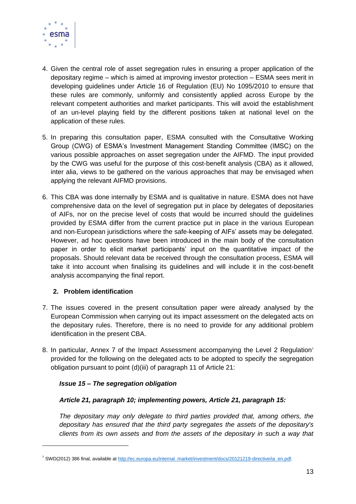

- 4. Given the central role of asset segregation rules in ensuring a proper application of the depositary regime – which is aimed at improving investor protection – ESMA sees merit in developing guidelines under Article 16 of Regulation (EU) No 1095/2010 to ensure that these rules are commonly, uniformly and consistently applied across Europe by the relevant competent authorities and market participants. This will avoid the establishment of an un-level playing field by the different positions taken at national level on the application of these rules.
- 5. In preparing this consultation paper, ESMA consulted with the Consultative Working Group (CWG) of ESMA's Investment Management Standing Committee (IMSC) on the various possible approaches on asset segregation under the AIFMD. The input provided by the CWG was useful for the purpose of this cost-benefit analysis (CBA) as it allowed, inter alia, views to be gathered on the various approaches that may be envisaged when applying the relevant AIFMD provisions.
- 6. This CBA was done internally by ESMA and is qualitative in nature. ESMA does not have comprehensive data on the level of segregation put in place by delegates of depositaries of AIFs, nor on the precise level of costs that would be incurred should the guidelines provided by ESMA differ from the current practice put in place in the various European and non-European jurisdictions where the safe-keeping of AIFs' assets may be delegated. However, ad hoc questions have been introduced in the main body of the consultation paper in order to elicit market participants' input on the quantitative impact of the proposals. Should relevant data be received through the consultation process, ESMA will take it into account when finalising its guidelines and will include it in the cost-benefit analysis accompanying the final report.

#### **2. Problem identification**

-

- 7. The issues covered in the present consultation paper were already analysed by the European Commission when carrying out its impact assessment on the delegated acts on the depositary rules. Therefore, there is no need to provide for any additional problem identification in the present CBA.
- 8. In particular, Annex 7 of the Impact Assessment accompanying the Level 2 Regulation<sup>7</sup> provided for the following on the delegated acts to be adopted to specify the segregation obligation pursuant to point (d)(iii) of paragraph 11 of Article 21:

#### *Issue 15 – The segregation obligation*

#### *Article 21, paragraph 10; implementing powers, Article 21, paragraph 15:*

*The depositary may only delegate to third parties provided that, among others, the depositary has ensured that the third party segregates the assets of the depositary's clients from its own assets and from the assets of the depositary in such a way that* 

<sup>7</sup> SWD(2012) 386 final, available a[t http://ec.europa.eu/internal\\_market/investment/docs/20121219-directive/ia\\_en.pdf.](http://ec.europa.eu/internal_market/investment/docs/20121219-directive/ia_en.pdf)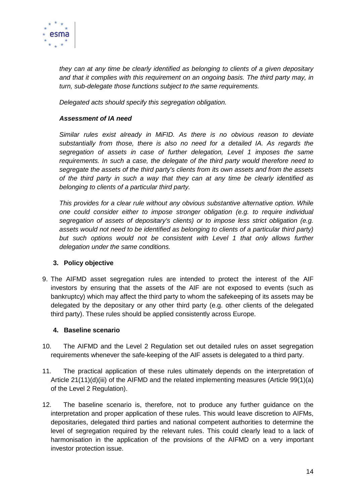

*they can at any time be clearly identified as belonging to clients of a given depositary and that it complies with this requirement on an ongoing basis. The third party may, in turn, sub-delegate those functions subject to the same requirements.*

*Delegated acts should specify this segregation obligation.*

#### *Assessment of IA need*

*Similar rules exist already in MiFID. As there is no obvious reason to deviate substantially from those, there is also no need for a detailed IA. As regards the segregation of assets in case of further delegation, Level 1 imposes the same requirements. In such a case, the delegate of the third party would therefore need to segregate the assets of the third party's clients from its own assets and from the assets of the third party in such a way that they can at any time be clearly identified as belonging to clients of a particular third party.*

*This provides for a clear rule without any obvious substantive alternative option. While one could consider either to impose stronger obligation (e.g. to require individual segregation of assets of depositary's clients) or to impose less strict obligation (e.g. assets would not need to be identified as belonging to clients of a particular third party)*  but such options would not be consistent with Level 1 that only allows further *delegation under the same conditions.*

#### **3. Policy objective**

9. The AIFMD asset segregation rules are intended to protect the interest of the AIF investors by ensuring that the assets of the AIF are not exposed to events (such as bankruptcy) which may affect the third party to whom the safekeeping of its assets may be delegated by the depositary or any other third party (e.g. other clients of the delegated third party). These rules should be applied consistently across Europe.

#### **4. Baseline scenario**

- 10. The AIFMD and the Level 2 Regulation set out detailed rules on asset segregation requirements whenever the safe-keeping of the AIF assets is delegated to a third party.
- 11. The practical application of these rules ultimately depends on the interpretation of Article 21(11)(d)(iii) of the AIFMD and the related implementing measures (Article 99(1)(a) of the Level 2 Regulation).
- 12. The baseline scenario is, therefore, not to produce any further guidance on the interpretation and proper application of these rules. This would leave discretion to AIFMs, depositaries, delegated third parties and national competent authorities to determine the level of segregation required by the relevant rules. This could clearly lead to a lack of harmonisation in the application of the provisions of the AIFMD on a very important investor protection issue.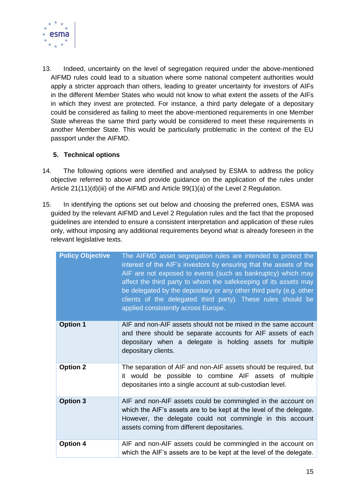

13. Indeed, uncertainty on the level of segregation required under the above-mentioned AIFMD rules could lead to a situation where some national competent authorities would apply a stricter approach than others, leading to greater uncertainty for investors of AIFs in the different Member States who would not know to what extent the assets of the AIFs in which they invest are protected. For instance, a third party delegate of a depositary could be considered as failing to meet the above-mentioned requirements in one Member State whereas the same third party would be considered to meet these requirements in another Member State. This would be particularly problematic in the context of the EU passport under the AIFMD.

#### **5. Technical options**

- 14. The following options were identified and analysed by ESMA to address the policy objective referred to above and provide guidance on the application of the rules under Article 21(11)(d)(iii) of the AIFMD and Article 99(1)(a) of the Level 2 Regulation.
- 15. In identifying the options set out below and choosing the preferred ones, ESMA was guided by the relevant AIFMD and Level 2 Regulation rules and the fact that the proposed guidelines are intended to ensure a consistent interpretation and application of these rules only, without imposing any additional requirements beyond what is already foreseen in the relevant legislative texts.

| <b>Policy Objective</b> | The AIFMD asset segregation rules are intended to protect the<br>interest of the AIF's investors by ensuring that the assets of the<br>AIF are not exposed to events (such as bankruptcy) which may<br>affect the third party to whom the safekeeping of its assets may<br>be delegated by the depositary or any other third party (e.g. other<br>clients of the delegated third party). These rules should be<br>applied consistently across Europe. |
|-------------------------|-------------------------------------------------------------------------------------------------------------------------------------------------------------------------------------------------------------------------------------------------------------------------------------------------------------------------------------------------------------------------------------------------------------------------------------------------------|
| <b>Option 1</b>         | AIF and non-AIF assets should not be mixed in the same account<br>and there should be separate accounts for AIF assets of each<br>depositary when a delegate is holding assets for multiple<br>depositary clients.                                                                                                                                                                                                                                    |
| <b>Option 2</b>         | The separation of AIF and non-AIF assets should be required, but<br>it would be possible to combine AIF assets of multiple<br>depositaries into a single account at sub-custodian level.                                                                                                                                                                                                                                                              |
| <b>Option 3</b>         | AIF and non-AIF assets could be commingled in the account on<br>which the AIF's assets are to be kept at the level of the delegate.<br>However, the delegate could not commingle in this account<br>assets coming from different depositaries.                                                                                                                                                                                                        |
| <b>Option 4</b>         | AIF and non-AIF assets could be commingled in the account on<br>which the AIF's assets are to be kept at the level of the delegate.                                                                                                                                                                                                                                                                                                                   |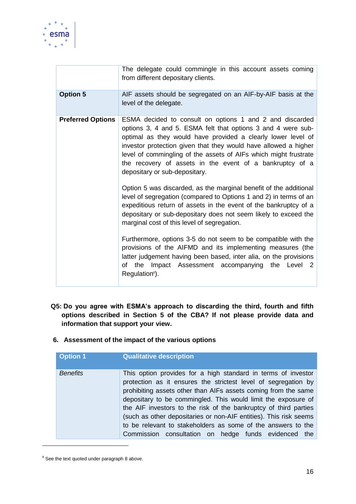

|                          | The delegate could commingle in this account assets coming<br>from different depositary clients.                                                                                                                                                                                                                                                                                                                             |
|--------------------------|------------------------------------------------------------------------------------------------------------------------------------------------------------------------------------------------------------------------------------------------------------------------------------------------------------------------------------------------------------------------------------------------------------------------------|
| <b>Option 5</b>          | AIF assets should be segregated on an AIF-by-AIF basis at the<br>level of the delegate.                                                                                                                                                                                                                                                                                                                                      |
| <b>Preferred Options</b> | ESMA decided to consult on options 1 and 2 and discarded<br>options 3, 4 and 5. ESMA felt that options 3 and 4 were sub-<br>optimal as they would have provided a clearly lower level of<br>investor protection given that they would have allowed a higher<br>level of commingling of the assets of AIFs which might frustrate<br>the recovery of assets in the event of a bankruptcy of a<br>depositary or sub-depositary. |
|                          | Option 5 was discarded, as the marginal benefit of the additional<br>level of segregation (compared to Options 1 and 2) in terms of an<br>expeditious return of assets in the event of the bankruptcy of a<br>depositary or sub-depositary does not seem likely to exceed the<br>marginal cost of this level of segregation.                                                                                                 |
|                          | Furthermore, options 3-5 do not seem to be compatible with the<br>provisions of the AIFMD and its implementing measures (the<br>latter judgement having been based, inter alia, on the provisions<br>of the Impact Assessment accompanying the Level<br>- 2<br>Regulation <sup>®</sup> ).                                                                                                                                    |

- **Q5: Do you agree with ESMA's approach to discarding the third, fourth and fifth options described in Section 5 of the CBA? If not please provide data and information that support your view.**
- **6. Assessment of the impact of the various options**

| <b>Option 1</b> | <b>Qualitative description</b>                                                                                                                                                                                                                                                                                                                                                                                                                                                                                                      |
|-----------------|-------------------------------------------------------------------------------------------------------------------------------------------------------------------------------------------------------------------------------------------------------------------------------------------------------------------------------------------------------------------------------------------------------------------------------------------------------------------------------------------------------------------------------------|
| <b>Benefits</b> | This option provides for a high standard in terms of investor<br>protection as it ensures the strictest level of segregation by<br>prohibiting assets other than AIFs assets coming from the same<br>depositary to be commingled. This would limit the exposure of<br>the AIF investors to the risk of the bankruptcy of third parties<br>(such as other depositaries or non-AIF entities). This risk seems<br>to be relevant to stakeholders as some of the answers to the<br>Commission consultation on hedge funds evidenced the |

<sup>&</sup>lt;sup>8</sup> See the text quoted under paragraph 8 above.

-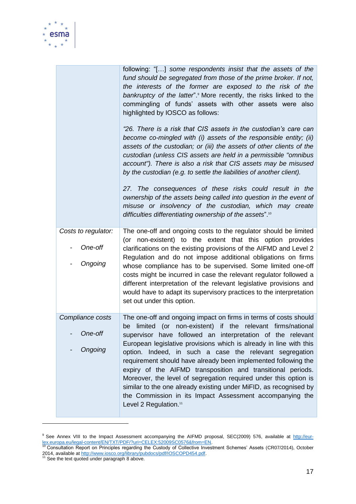|                                           | following: "[] some respondents insist that the assets of the<br>fund should be segregated from those of the prime broker. If not,<br>the interests of the former are exposed to the risk of the<br>bankruptcy of the latter". <sup>9</sup> More recently, the risks linked to the<br>commingling of funds' assets with other assets were also<br>highlighted by IOSCO as follows:                                                                                                                                                                                                                                                                                                                              |
|-------------------------------------------|-----------------------------------------------------------------------------------------------------------------------------------------------------------------------------------------------------------------------------------------------------------------------------------------------------------------------------------------------------------------------------------------------------------------------------------------------------------------------------------------------------------------------------------------------------------------------------------------------------------------------------------------------------------------------------------------------------------------|
|                                           | "26. There is a risk that CIS assets in the custodian's care can<br>become co-mingled with (i) assets of the responsible entity; (ii)<br>assets of the custodian; or (iii) the assets of other clients of the<br>custodian (unless CIS assets are held in a permissible "omnibus"<br>account"). There is also a risk that CIS assets may be misused<br>by the custodian (e.g. to settle the liabilities of another client).                                                                                                                                                                                                                                                                                     |
|                                           | 27. The consequences of these risks could result in the<br>ownership of the assets being called into question in the event of<br>misuse or insolvency of the custodian, which may create<br>difficulties differentiating ownership of the assets". <sup>10</sup>                                                                                                                                                                                                                                                                                                                                                                                                                                                |
| Costs to regulator:<br>One-off<br>Ongoing | The one-off and ongoing costs to the regulator should be limited<br>(or non-existent) to the extent that this option provides<br>clarifications on the existing provisions of the AIFMD and Level 2<br>Regulation and do not impose additional obligations on firms<br>whose compliance has to be supervised. Some limited one-off<br>costs might be incurred in case the relevant regulator followed a<br>different interpretation of the relevant legislative provisions and<br>would have to adapt its supervisory practices to the interpretation<br>set out under this option.                                                                                                                             |
| Compliance costs<br>One-off<br>Ongoing    | The one-off and ongoing impact on firms in terms of costs should<br>non-existent) if the relevant firms/national<br>limited (or<br>be<br>supervisor have followed an interpretation of the relevant<br>European legislative provisions which is already in line with this<br>option. Indeed, in such a case the relevant segregation<br>requirement should have already been implemented following the<br>expiry of the AIFMD transposition and transitional periods.<br>Moreover, the level of segregation required under this option is<br>similar to the one already existing under MiFID, as recognised by<br>the Commission in its Impact Assessment accompanying the<br>Level 2 Regulation. <sup>11</sup> |

<sup>9</sup> See Annex VIII to the Impact Assessment accompanying the AIFMD proposal, SEC(2009) 576, available at [http://eur](http://eur-lex.europa.eu/legal-content/EN/TXT/PDF/?uri=CELEX:52009SC0576&from=EN)l<u>ex.europa.eu/legal-content/EN/TXT/PDF/?uri=CELEX:52009SC0576&from=EN</u>.<br><sup>10</sup> Consultation Report on Principles regarding the Custody of Collective Investment Schemes' Assets (CR07/2014), October

-

 $\star$  $\frac{1}{2}$ 

<sup>2014,</sup> available at <u>http://www.iosco.org/library/pubdocs/pdf/IOSCOPD454.pdf</u>.<br><sup>11</sup> See the text quoted under paragraph 8 above.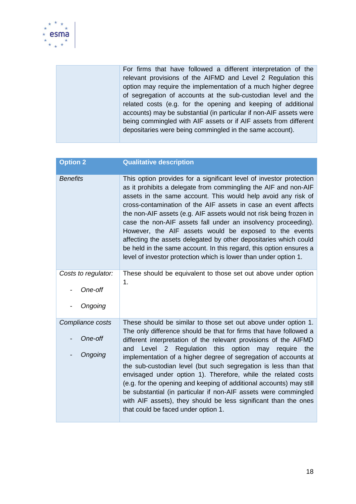

For firms that have followed a different interpretation of the relevant provisions of the AIFMD and Level 2 Regulation this option may require the implementation of a much higher degree of segregation of accounts at the sub-custodian level and the related costs (e.g. for the opening and keeping of additional accounts) may be substantial (in particular if non-AIF assets were being commingled with AIF assets or if AIF assets from different depositaries were being commingled in the same account).

| <b>Option 2</b>     | <b>Qualitative description</b>                                                                                                                                                                                                                                                                                                                                                                                                                                                                                                                                                                                                                                                           |
|---------------------|------------------------------------------------------------------------------------------------------------------------------------------------------------------------------------------------------------------------------------------------------------------------------------------------------------------------------------------------------------------------------------------------------------------------------------------------------------------------------------------------------------------------------------------------------------------------------------------------------------------------------------------------------------------------------------------|
| <b>Benefits</b>     | This option provides for a significant level of investor protection<br>as it prohibits a delegate from commingling the AIF and non-AIF<br>assets in the same account. This would help avoid any risk of<br>cross-contamination of the AIF assets in case an event affects<br>the non-AIF assets (e.g. AIF assets would not risk being frozen in<br>case the non-AIF assets fall under an insolvency proceeding).<br>However, the AIF assets would be exposed to the events<br>affecting the assets delegated by other depositaries which could<br>be held in the same account. In this regard, this option ensures a<br>level of investor protection which is lower than under option 1. |
| Costs to regulator: | These should be equivalent to those set out above under option<br>1.                                                                                                                                                                                                                                                                                                                                                                                                                                                                                                                                                                                                                     |
| One-off             |                                                                                                                                                                                                                                                                                                                                                                                                                                                                                                                                                                                                                                                                                          |
| Ongoing             |                                                                                                                                                                                                                                                                                                                                                                                                                                                                                                                                                                                                                                                                                          |
| Compliance costs    | These should be similar to those set out above under option 1.                                                                                                                                                                                                                                                                                                                                                                                                                                                                                                                                                                                                                           |
| One-off             | The only difference should be that for firms that have followed a<br>different interpretation of the relevant provisions of the AIFMD                                                                                                                                                                                                                                                                                                                                                                                                                                                                                                                                                    |
| Ongoing             | Regulation<br>this<br>option<br>and<br>Level<br>$2^{\circ}$<br>the<br>may<br>require<br>implementation of a higher degree of segregation of accounts at<br>the sub-custodian level (but such segregation is less than that<br>envisaged under option 1). Therefore, while the related costs<br>(e.g. for the opening and keeping of additional accounts) may still<br>be substantial (in particular if non-AIF assets were commingled<br>with AIF assets), they should be less significant than the ones<br>that could be faced under option 1.                                                                                                                                          |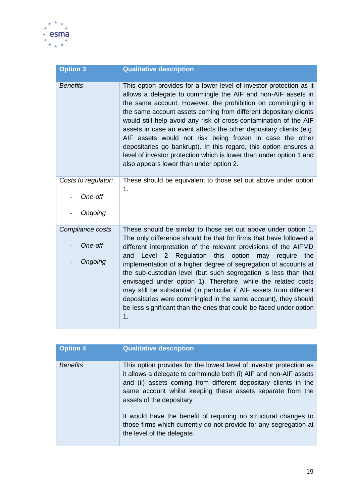

| <b>Option 3</b>                           | <b>Qualitative description</b>                                                                                                                                                                                                                                                                                                                                                                                                                                                                                                                                                                                                                                                                                            |
|-------------------------------------------|---------------------------------------------------------------------------------------------------------------------------------------------------------------------------------------------------------------------------------------------------------------------------------------------------------------------------------------------------------------------------------------------------------------------------------------------------------------------------------------------------------------------------------------------------------------------------------------------------------------------------------------------------------------------------------------------------------------------------|
| <b>Benefits</b>                           | This option provides for a lower level of investor protection as it<br>allows a delegate to commingle the AIF and non-AIF assets in<br>the same account. However, the prohibition on commingling in<br>the same account assets coming from different depositary clients<br>would still help avoid any risk of cross-contamination of the AIF<br>assets in case an event affects the other depositary clients (e.g.<br>AIF assets would not risk being frozen in case the other<br>depositaries go bankrupt). In this regard, this option ensures a<br>level of investor protection which is lower than under option 1 and<br>also appears lower than under option 2.                                                      |
| Costs to regulator:<br>One-off<br>Ongoing | These should be equivalent to those set out above under option<br>1.                                                                                                                                                                                                                                                                                                                                                                                                                                                                                                                                                                                                                                                      |
| Compliance costs<br>One-off<br>Ongoing    | These should be similar to those set out above under option 1.<br>The only difference should be that for firms that have followed a<br>different interpretation of the relevant provisions of the AIFMD<br>Regulation this<br>Level<br>$\overline{2}$<br>option<br>may require<br>the<br>and<br>implementation of a higher degree of segregation of accounts at<br>the sub-custodian level (but such segregation is less than that<br>envisaged under option 1). Therefore, while the related costs<br>may still be substantial (in particular if AIF assets from different<br>depositaries were commingled in the same account), they should<br>be less significant than the ones that could be faced under option<br>1. |

| <b>Option 4</b> | <b>Qualitative description</b>                                                                                                                                                                                                                                                                        |
|-----------------|-------------------------------------------------------------------------------------------------------------------------------------------------------------------------------------------------------------------------------------------------------------------------------------------------------|
| <b>Benefits</b> | This option provides for the lowest level of investor protection as<br>it allows a delegate to commingle both (i) AIF and non-AIF assets<br>and (ii) assets coming from different depositary clients in the<br>same account whilst keeping these assets separate from the<br>assets of the depositary |
|                 | It would have the benefit of requiring no structural changes to<br>those firms which currently do not provide for any segregation at<br>the level of the delegate.                                                                                                                                    |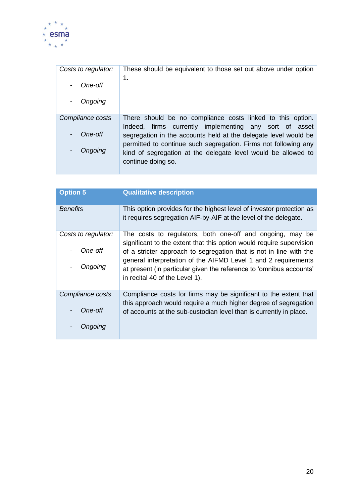

| These should be equivalent to those set out above under option<br>1.                                                                                   |
|--------------------------------------------------------------------------------------------------------------------------------------------------------|
|                                                                                                                                                        |
|                                                                                                                                                        |
| There should be no compliance costs linked to this option.                                                                                             |
| Indeed, firms currently implementing any sort of asset<br>segregation in the accounts held at the delegate level would be                              |
| permitted to continue such segregation. Firms not following any<br>kind of segregation at the delegate level would be allowed to<br>continue doing so. |
|                                                                                                                                                        |

| <b>Option 5</b>                           | <b>Qualitative description</b>                                                                                                                                                                                                                                                                                                                                                     |
|-------------------------------------------|------------------------------------------------------------------------------------------------------------------------------------------------------------------------------------------------------------------------------------------------------------------------------------------------------------------------------------------------------------------------------------|
| <b>Benefits</b>                           | This option provides for the highest level of investor protection as<br>it requires segregation AIF-by-AIF at the level of the delegate.                                                                                                                                                                                                                                           |
| Costs to regulator:<br>One-off<br>Ongoing | The costs to regulators, both one-off and ongoing, may be<br>significant to the extent that this option would require supervision<br>of a stricter approach to segregation that is not in line with the<br>general interpretation of the AIFMD Level 1 and 2 requirements<br>at present (in particular given the reference to 'omnibus accounts'<br>in recital 40 of the Level 1). |
| Compliance costs<br>One-off<br>Ongoing    | Compliance costs for firms may be significant to the extent that<br>this approach would require a much higher degree of segregation<br>of accounts at the sub-custodian level than is currently in place.                                                                                                                                                                          |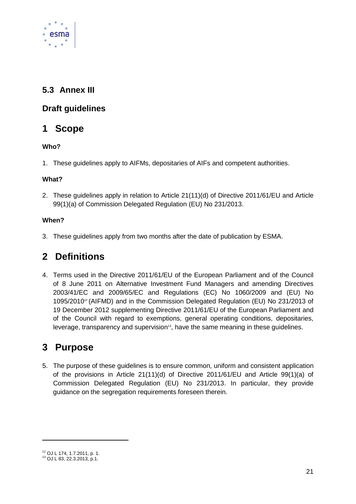

# <span id="page-20-0"></span>**5.3 Annex III**

### **Draft guidelines**

# **1 Scope**

### **Who?**

1. These guidelines apply to AIFMs, depositaries of AIFs and competent authorities.

### **What?**

2. These guidelines apply in relation to Article 21(11)(d) of Directive 2011/61/EU and Article 99(1)(a) of Commission Delegated Regulation (EU) No 231/2013.

### **When?**

3. These guidelines apply from two months after the date of publication by ESMA.

# **2 Definitions**

4. Terms used in the Directive 2011/61/EU of the European Parliament and of the Council of 8 June 2011 on Alternative Investment Fund Managers and amending Directives 2003/41/EC and 2009/65/EC and Regulations (EC) No 1060/2009 and (EU) No 1095/2010 <sup>12</sup> (AIFMD) and in the Commission Delegated Regulation (EU) No 231/2013 of 19 December 2012 supplementing Directive 2011/61/EU of the European Parliament and of the Council with regard to exemptions, general operating conditions, depositaries, leverage, transparency and supervision<sup>13</sup>, have the same meaning in these guidelines.

# **3 Purpose**

5. The purpose of these guidelines is to ensure common, uniform and consistent application of the provisions in Article 21(11)(d) of Directive 2011/61/EU and Article 99(1)(a) of Commission Delegated Regulation (EU) No 231/2013. In particular, they provide guidance on the segregation requirements foreseen therein.

 $\overline{a}$ 

<sup>12</sup> OJ L 174, 1.7.2011, p. 1.

<sup>13</sup> OJ L 83, 22.3.2013, p.1.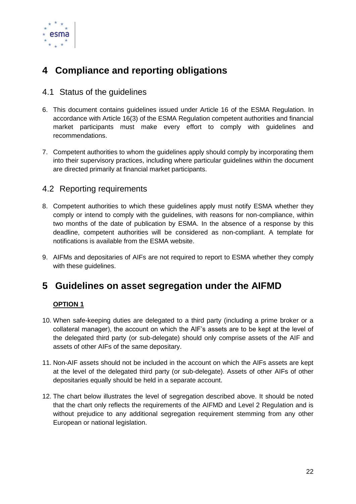

# **4 Compliance and reporting obligations**

### 4.1 Status of the guidelines

- 6. This document contains guidelines issued under Article 16 of the ESMA Regulation. In accordance with Article 16(3) of the ESMA Regulation competent authorities and financial market participants must make every effort to comply with guidelines and recommendations.
- 7. Competent authorities to whom the guidelines apply should comply by incorporating them into their supervisory practices, including where particular guidelines within the document are directed primarily at financial market participants.

### 4.2 Reporting requirements

- 8. Competent authorities to which these guidelines apply must notify ESMA whether they comply or intend to comply with the guidelines, with reasons for non-compliance, within two months of the date of publication by ESMA. In the absence of a response by this deadline, competent authorities will be considered as non-compliant. A template for notifications is available from the ESMA website.
- 9. AIFMs and depositaries of AIFs are not required to report to ESMA whether they comply with these guidelines.

# **5 Guidelines on asset segregation under the AIFMD**

### **OPTION 1**

- 10. When safe-keeping duties are delegated to a third party (including a prime broker or a collateral manager), the account on which the AIF's assets are to be kept at the level of the delegated third party (or sub-delegate) should only comprise assets of the AIF and assets of other AIFs of the same depositary.
- 11. Non-AIF assets should not be included in the account on which the AIFs assets are kept at the level of the delegated third party (or sub-delegate). Assets of other AIFs of other depositaries equally should be held in a separate account.
- 12. The chart below illustrates the level of segregation described above. It should be noted that the chart only reflects the requirements of the AIFMD and Level 2 Regulation and is without prejudice to any additional segregation requirement stemming from any other European or national legislation.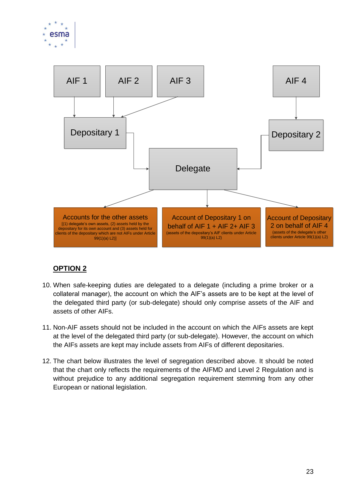



### **OPTION 2**

- 10. When safe-keeping duties are delegated to a delegate (including a prime broker or a collateral manager), the account on which the AIF's assets are to be kept at the level of the delegated third party (or sub-delegate) should only comprise assets of the AIF and assets of other AIFs.
- 11. Non-AIF assets should not be included in the account on which the AIFs assets are kept at the level of the delegated third party (or sub-delegate). However, the account on which the AIFs assets are kept may include assets from AIFs of different depositaries.
- 12. The chart below illustrates the level of segregation described above. It should be noted that the chart only reflects the requirements of the AIFMD and Level 2 Regulation and is without prejudice to any additional segregation requirement stemming from any other European or national legislation.